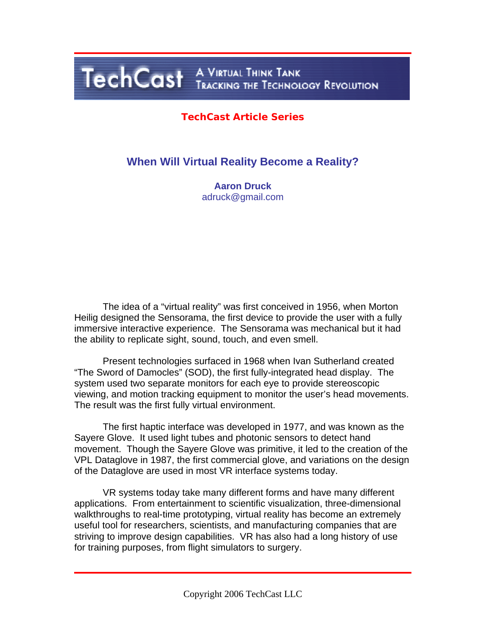# TechCast A VIRTUAL THINK TANK

#### **TechCast Article Series**

#### **When Will Virtual Reality Become a Reality?**

**Aaron Druck**  adruck@gmail.com

 The idea of a "virtual reality" was first conceived in 1956, when Morton Heilig designed the Sensorama, the first device to provide the user with a fully immersive interactive experience. The Sensorama was mechanical but it had the ability to replicate sight, sound, touch, and even smell.

 Present technologies surfaced in 1968 when Ivan Sutherland created "The Sword of Damocles" (SOD), the first fully-integrated head display. The system used two separate monitors for each eye to provide stereoscopic viewing, and motion tracking equipment to monitor the user's head movements. The result was the first fully virtual environment.

 The first haptic interface was developed in 1977, and was known as the Sayere Glove. It used light tubes and photonic sensors to detect hand movement. Though the Sayere Glove was primitive, it led to the creation of the VPL Dataglove in 1987, the first commercial glove, and variations on the design of the Dataglove are used in most VR interface systems today.

 VR systems today take many different forms and have many different applications. From entertainment to scientific visualization, three-dimensional walkthroughs to real-time prototyping, virtual reality has become an extremely useful tool for researchers, scientists, and manufacturing companies that are striving to improve design capabilities. VR has also had a long history of use for training purposes, from flight simulators to surgery.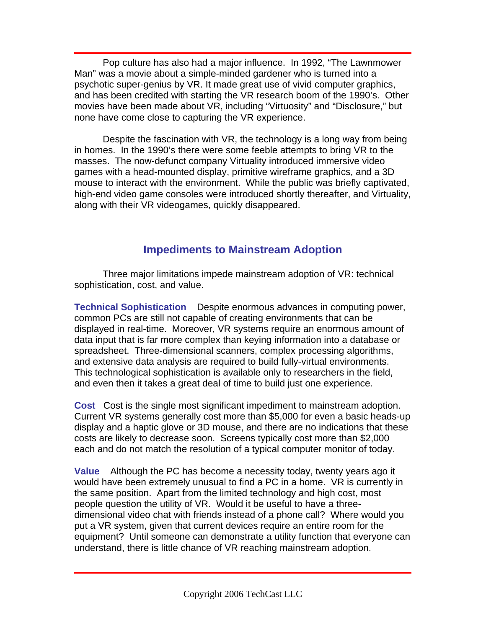Pop culture has also had a major influence. In 1992, "The Lawnmower Man" was a movie about a simple-minded gardener who is turned into a psychotic super-genius by VR. It made great use of vivid computer graphics, and has been credited with starting the VR research boom of the 1990's. Other movies have been made about VR, including "Virtuosity" and "Disclosure," but none have come close to capturing the VR experience.

 Despite the fascination with VR, the technology is a long way from being in homes. In the 1990's there were some feeble attempts to bring VR to the masses. The now-defunct company Virtuality introduced immersive video games with a head-mounted display, primitive wireframe graphics, and a 3D mouse to interact with the environment. While the public was briefly captivated, high-end video game consoles were introduced shortly thereafter, and Virtuality, along with their VR videogames, quickly disappeared.

#### **Impediments to Mainstream Adoption**

 Three major limitations impede mainstream adoption of VR: technical sophistication, cost, and value.

**Technical Sophistication** Despite enormous advances in computing power, common PCs are still not capable of creating environments that can be displayed in real-time. Moreover, VR systems require an enormous amount of data input that is far more complex than keying information into a database or spreadsheet. Three-dimensional scanners, complex processing algorithms, and extensive data analysis are required to build fully-virtual environments. This technological sophistication is available only to researchers in the field, and even then it takes a great deal of time to build just one experience.

**Cost** Cost is the single most significant impediment to mainstream adoption. Current VR systems generally cost more than \$5,000 for even a basic heads-up display and a haptic glove or 3D mouse, and there are no indications that these costs are likely to decrease soon. Screens typically cost more than \$2,000 each and do not match the resolution of a typical computer monitor of today.

**Value** Although the PC has become a necessity today, twenty years ago it would have been extremely unusual to find a PC in a home. VR is currently in the same position. Apart from the limited technology and high cost, most people question the utility of VR. Would it be useful to have a threedimensional video chat with friends instead of a phone call? Where would you put a VR system, given that current devices require an entire room for the equipment? Until someone can demonstrate a utility function that everyone can understand, there is little chance of VR reaching mainstream adoption.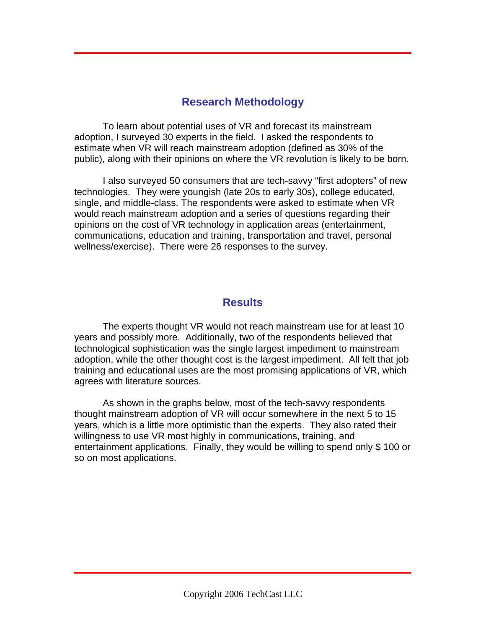#### **Research Methodology**

 To learn about potential uses of VR and forecast its mainstream adoption, I surveyed 30 experts in the field. I asked the respondents to estimate when VR will reach mainstream adoption (defined as 30% of the public), along with their opinions on where the VR revolution is likely to be born.

 I also surveyed 50 consumers that are tech-savvy "first adopters" of new technologies. They were youngish (late 20s to early 30s), college educated, single, and middle-class. The respondents were asked to estimate when VR would reach mainstream adoption and a series of questions regarding their opinions on the cost of VR technology in application areas (entertainment, communications, education and training, transportation and travel, personal wellness/exercise). There were 26 responses to the survey.

#### **Results**

 The experts thought VR would not reach mainstream use for at least 10 years and possibly more. Additionally, two of the respondents believed that technological sophistication was the single largest impediment to mainstream adoption, while the other thought cost is the largest impediment. All felt that job training and educational uses are the most promising applications of VR, which agrees with literature sources.

 As shown in the graphs below, most of the tech-savvy respondents thought mainstream adoption of VR will occur somewhere in the next 5 to 15 years, which is a little more optimistic than the experts. They also rated their willingness to use VR most highly in communications, training, and entertainment applications. Finally, they would be willing to spend only \$ 100 or so on most applications.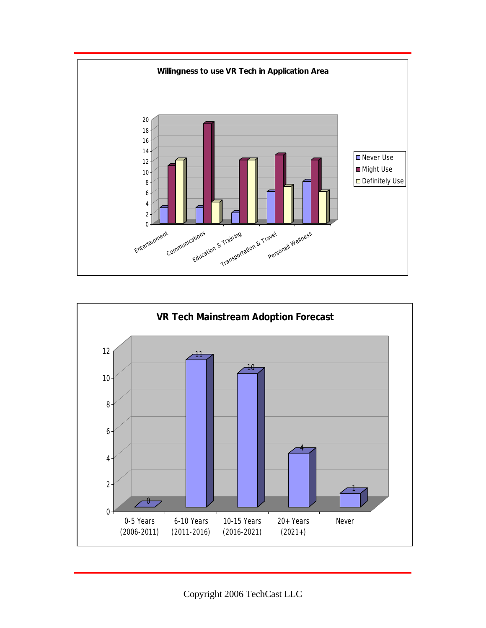

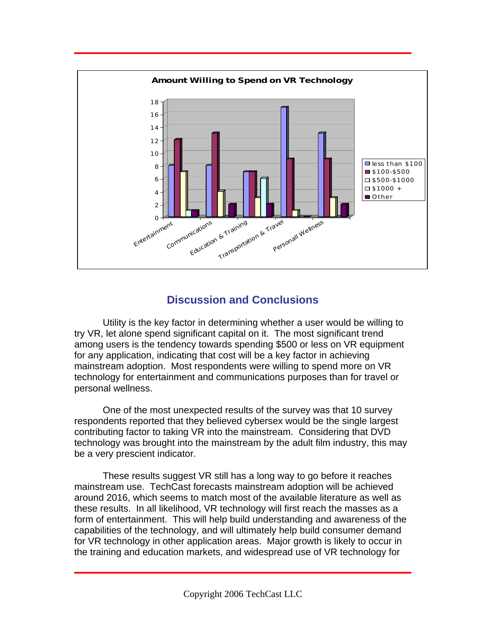

### **Discussion and Conclusions**

 Utility is the key factor in determining whether a user would be willing to try VR, let alone spend significant capital on it. The most significant trend among users is the tendency towards spending \$500 or less on VR equipment for any application, indicating that cost will be a key factor in achieving mainstream adoption. Most respondents were willing to spend more on VR technology for entertainment and communications purposes than for travel or personal wellness.

 One of the most unexpected results of the survey was that 10 survey respondents reported that they believed cybersex would be the single largest contributing factor to taking VR into the mainstream. Considering that DVD technology was brought into the mainstream by the adult film industry, this may be a very prescient indicator.

 These results suggest VR still has a long way to go before it reaches mainstream use. TechCast forecasts mainstream adoption will be achieved around 2016, which seems to match most of the available literature as well as these results. In all likelihood, VR technology will first reach the masses as a form of entertainment. This will help build understanding and awareness of the capabilities of the technology, and will ultimately help build consumer demand for VR technology in other application areas. Major growth is likely to occur in the training and education markets, and widespread use of VR technology for